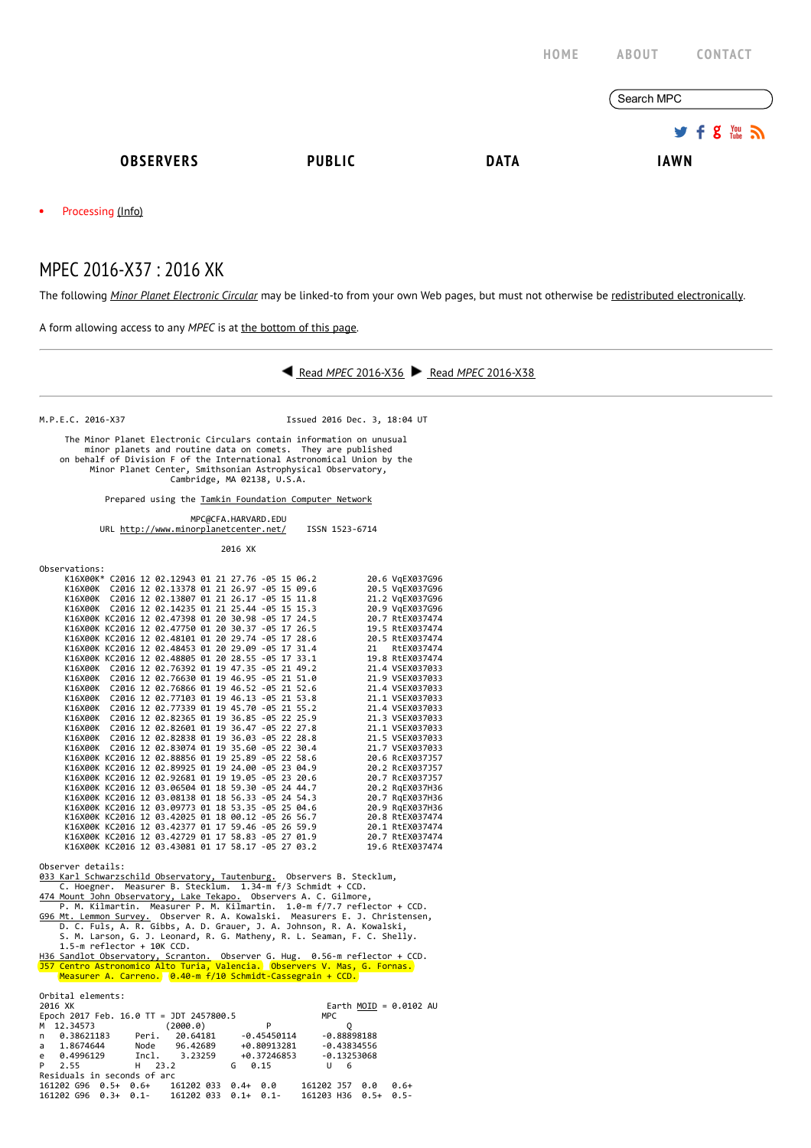|           |                   |               | HOME        | <b>ABOUT</b><br><b>CONTACT</b>          |  |
|-----------|-------------------|---------------|-------------|-----------------------------------------|--|
|           |                   |               |             | Search MPC                              |  |
|           |                   |               |             | $9.5$ $\frac{100}{20}$ $\frac{100}{20}$ |  |
|           | <b>OBSERVERS</b>  | <b>PUBLIC</b> | <b>DATA</b> | <b>IAWN</b>                             |  |
| $\bullet$ | Processing (Info) |               |             |                                         |  |

## MPEC 2016-X37 : 2016 XK

The following Minor Planet [Electronic](http://www.minorplanetcenter.net/iau/services/MPEC.html) Circular may be linked-to from your own Web pages, but must not otherwise be redistributed [electronically](http://www.minorplanetcenter.net/iau/WWWPolicy.html).

A form allowing access to any MPEC is at the [bottom](http://www.minorplanetcenter.net/mpec/K16/K16X37.html#form) of this page.